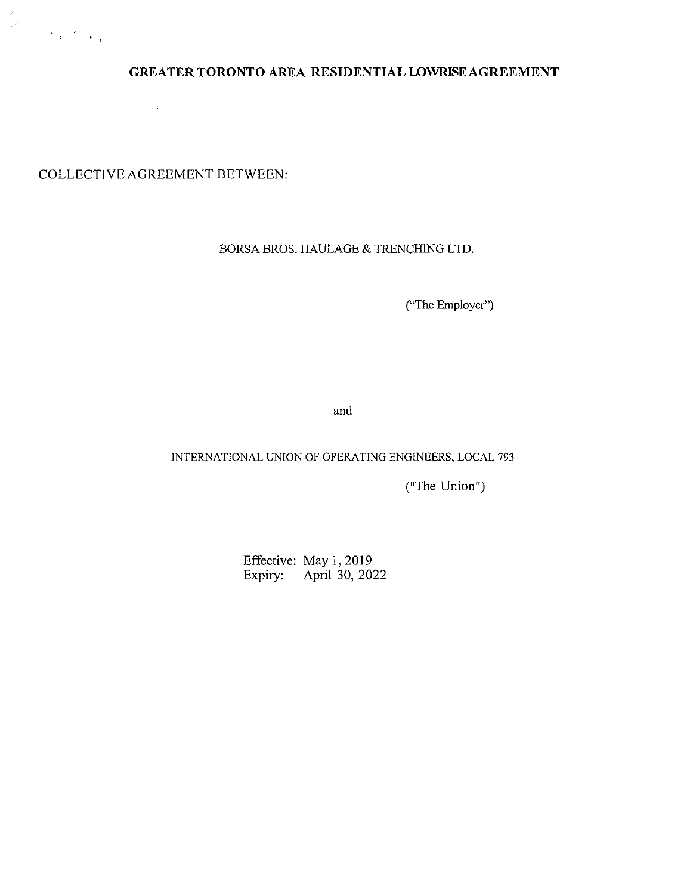

# **GREATER TORONTO AREA RESIDENTIAL LOWRISE AGREEMENT**

COLLECTIVE AGREEMENT BETWEEN:

 $\sim$ 

## BORSA BROS. HAULAGE & TRENCHING LTD.

("The Employer")

and

## INTERNATIONAL UNION OF OPERATING ENGINEERS, LOCAL 793

("The Union")

Effective: May 1, 2019 Expiry: April 30, 2022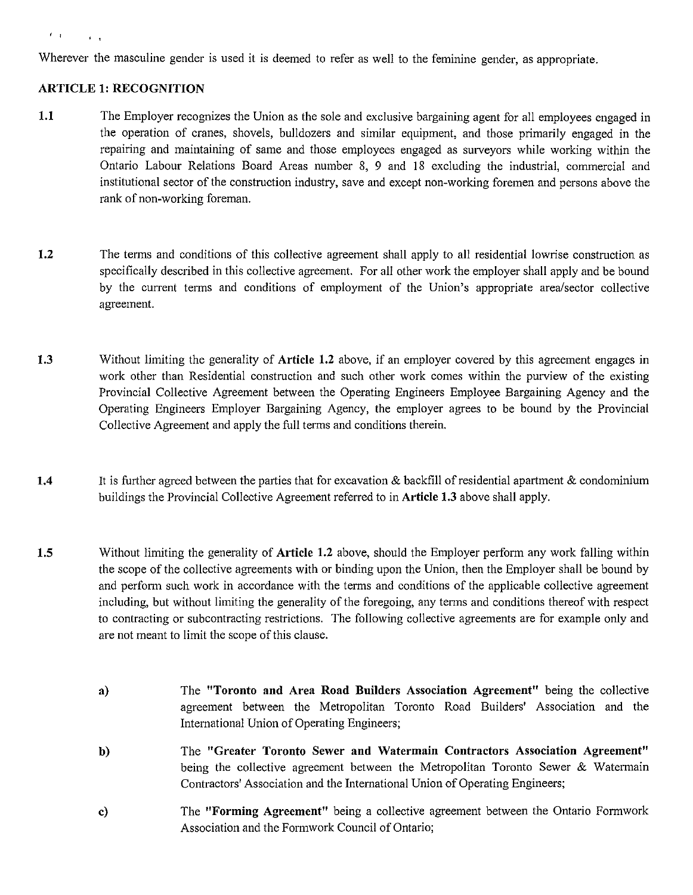#### $\ell$  or  $\ell$  -  $\ell$  and

Wherever the masculine gender is used it is deemed to refer as well to the feminine gender, as appropriate.

#### **ARTICLE 1: RECOGNITION**

- **1.1** The Employer recognizes the Union as the sole and exclusive bargaining agent for all employees engaged in the operation of cranes, shovels, bulldozers and similar equipment, and those primarily engaged in the repairing and maintaining of same and those employees engaged as surveyors while working within the Ontario Labour Relations Board Areas number 8, 9 and 18 excluding the industrial, commercial and institutional sector of the construction industry, save and except non-working foremen and persons above the rank of non-working foreman.
- **1.2** The terms and conditions of this collective agreement shall apply to all residential lowrise construction as specifically described in this collective agreement. For all other work the employer shall apply and be bound by the current terms and conditions of employment of the Union's appropriate area/sector collective agreement.
- **1.3** Without limiting the generality of **Article 1.2** above, if an employer covered by this agreement engages in work other than Residential construction and such other work comes within the purview of the existing Provincial Collective Agreement between the Operating Engineers Employee Bargaining Agency and the Operating Engineers Employer Bargaining Agency, the employer agrees to be bound by the Provincial Collective Agreement and apply the full terms and conditions therein.
- **1.4** It is further agreed between the parties that for excavation & backfill of residential apartment & condominium buildings the Provincial Collective Agreement referred to in **Article 1.3** above shall apply.
- **1.5** Without limiting the generality of **Article 1.2** above, should the Employer perform any work falling within the scope of the collective agreements with or binding upon the Union, then the Employer shall be bound by and perform such work in accordance with the terms and conditions of the applicable collective agreement including, but without limiting the generality of the foregoing, any tenns and conditions thereof with respect to contracting or subcontracting restrictions. The following collective agreements are for example only and are not meant to limit the scope of this clause.
	- **a)**  The **"Toronto and Area Road Builders Association Agreement"** being the collective agreement between the Metropolitan Toronto Road Bnilders' Association and the International Union of Operating Engineers;
	- **b)**  The **"Greater Toronto Sewer and Watermain Contractors Association Agreement"**  being the collective agreement between the Metropolitan Toronto Sewer & Watermain Contractors' Association and the International Union of Operating Engineers;
	- c) The **"Forming Agreement"** being a collective agreement between the Ontario Formwork Association and the Formwork Council of Ontario;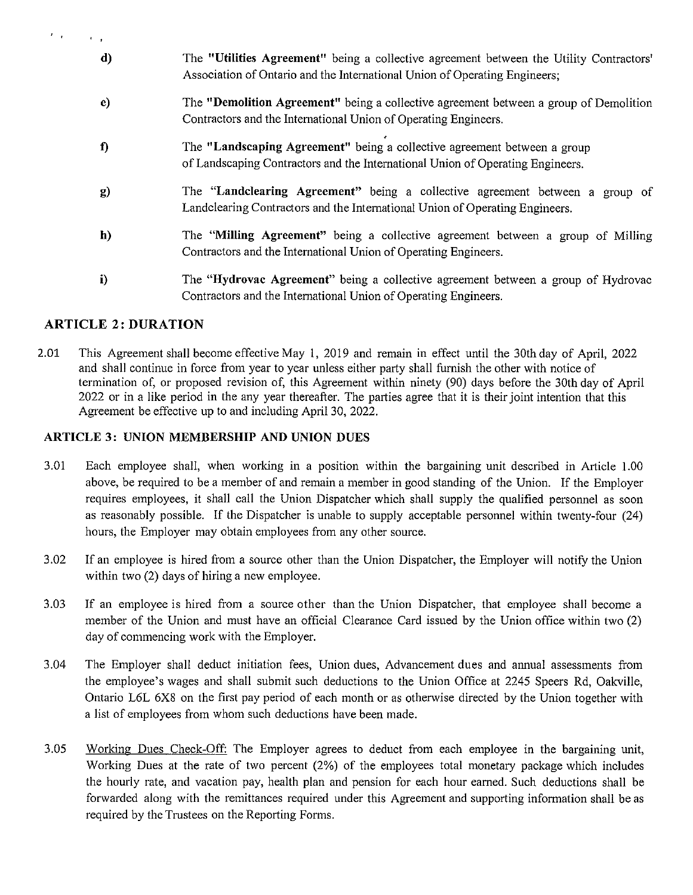| $\mathcal{F}=\mathcal{F}$ |                                                                                                                                                                       |
|---------------------------|-----------------------------------------------------------------------------------------------------------------------------------------------------------------------|
| d)                        | The "Utilities Agreement" being a collective agreement between the Utility Contractors'<br>Association of Ontario and the International Union of Operating Engineers; |
| e)                        | The "Demolition Agreement" being a collective agreement between a group of Demolition<br>Contractors and the International Union of Operating Engineers.              |
| f)                        | The "Landscaping Agreement" being a collective agreement between a group<br>of Landscaping Contractors and the International Union of Operating Engineers.            |
| g)                        | The "Landclearing Agreement" being a collective agreement between a group of<br>Landclearing Contractors and the International Union of Operating Engineers.          |
| h)                        | The "Milling Agreement" being a collective agreement between a group of Milling<br>Contractors and the International Union of Operating Engineers.                    |
| i)                        | The "Hydrovac Agreement" being a collective agreement between a group of Hydrovac<br>Contractors and the International Union of Operating Engineers.                  |

# **ARTICLE 2: DURATION**

2.01 This Agreement shall become effective May 1, 2019 and remain in effect until the 30th day of April, 2022 and shall continue in force from year to year unless either party shall furnish the other with notice of termination of, or proposed revision of, this Agreement within ninety (90) days before the 30th day of April 2022 or in a like period in the any year thereafter. The parties agree that it is their joint intention that this Agreement be effective up to and including April 30, 2022.

## **ARTICLE 3: UNION MEMBERSHIP AND UNION DUES**

- 3.01 Each employee shall, when working in a position within the bargaining unit described in Article 1.00 above, be required to be a member of and remain a member in good standing of the Union. If the Employer requires employees, it shall call the Union Dispatcher which shall supply the qualified personnel as soon as reasonably possible. If the Dispatcher is unable to supply acceptable personnel within twenty-four (24) hours, the Employer may obtain employees from any other source.
- 3.02 If an employee is hired from a source other than the Union Dispatcher, the Employer will notify the Union within two (2) days of hiring a new employee.
- 3.03 If an employee is hired from a source other than the Union Dispatcher, that employee shall become a member of the Union and must have an official Clearance Card issued by the Union office within two (2) day of commencing work with the Employer.
- 3.04 The Employer shall deduct initiation fees, Union dues, Advancement dues and annual assessments from the employee's wages and shall submit such deductions to the Union Office at 2245 Speers Rd, Oakville, Ontario L6L 6X8 on the first pay period of each month or as otherwise directed by the Union together with a list of employees from whom such deductions have been made.
- 3.05 Working Dues Check-Off: The Employer agrees to deduct from each employee in the bargaining unit, Working Dues at the rate of two percent (2%) of the employees total monetary package which includes the hourly rate, and vacation pay, health plan and pension for each hour earned. Such deductions shall be forwarded along with the remittances required under this Agreement and supporting information shall be as required by the Trustees on the Reporting Forms.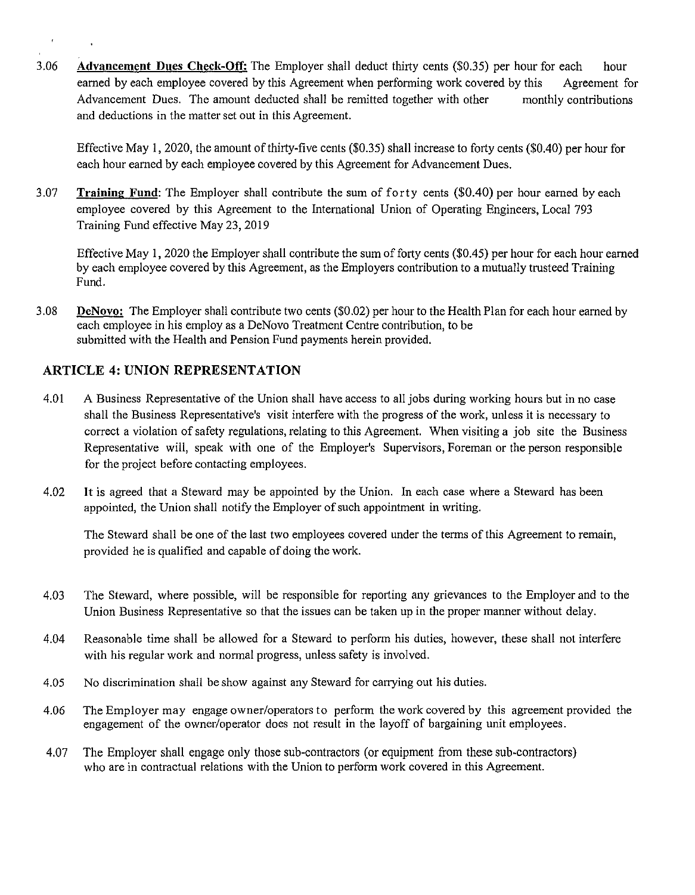3.06 **Advancement Dues Check-Off:** The Employer shall deduct thirty cents (\$0.35) per hour for each hour earned by each employee covered by this Agreement when performing work covered by this Agreement for Advancement Dues. The amount deducted shall be remitted together with other and deductions in the matter set out in this Agreement. monthly contributions

Effective May I, 2020, the amount of thirty-five cents (\$0.35) shall increase to forty cents (\$0.40) per hour for each hour earned by each employee covered by this Agreement for Advancement Dues.

3.07 **Training Fund:** The Employer shall contribute the sum of forty cents (\$0.40) per hour earned by each employee covered by this Agreement to the International Union of Operating Engineers, Local 793 Training Fund effective May 23,2019

Effective May I, 2020 the Employer shall contribute the sum of forty cents (\$0.45) per hour for each hour earned by each employee covered by this Agreement, as the Employers contribution to a mutually trusteed Training Fund.

3.08 **DeNovo:** The Employer shall contribute two cents (\$0.02) per hour to the Health Plan for each hour earned by each employee in his employ as a DeNovo Treatment Centre contribution, to be submitted with the Health and Pension Fund payments herein provided.

# **ARTICLE 4: UNION REPRESENTATION**

 $\bar{t}$ 

- 4.01 A Business Representative of the Union shall have access to all jobs during working hours but in no case shall the Business Representative's visit interfere with the progress of the work, unless it is necessary to correct a violation of safety regulations, relating to this Agreement. When visiting a job site the Business Representative will, speak with one of the Employer's Supervisors, Foreman or the person responsible for the project before contacting employees.
- 4.02 It is agreed that a Steward may be appointed by the Union. In each case where a Steward has been appointed, the Union shall notify the Employer of such appointment in writing.

The Steward shall be one of the last two employees covered under the terms of this Agreement to remain, provided he is qualified and capable of doing the work.

- 4.03 The Steward, where possible, will be responsible for reporting any grievances to the Employer and to the Union Business Representative so that the issues can be taken up in the proper manner without delay.
- 4.04 Reasonable time shall be allowed for a Steward to perform his duties, however, these shall not interfere with his regular work and normal progress, unless safety is involved.
- 4.05 No discrimination shall be show against any Steward for carrying out his duties.
- 4.06 The Employer may engage owner/operators to perform the work covered by this agreement provided the engagement of the owner/operator does not result in the layoff of bargaining unit employees.
- 4.07 The Employer shall engage only those sub-contractors (or equipment from these sub-contractors) who are in contractual relations with the Union to perform work covered in this Agreement.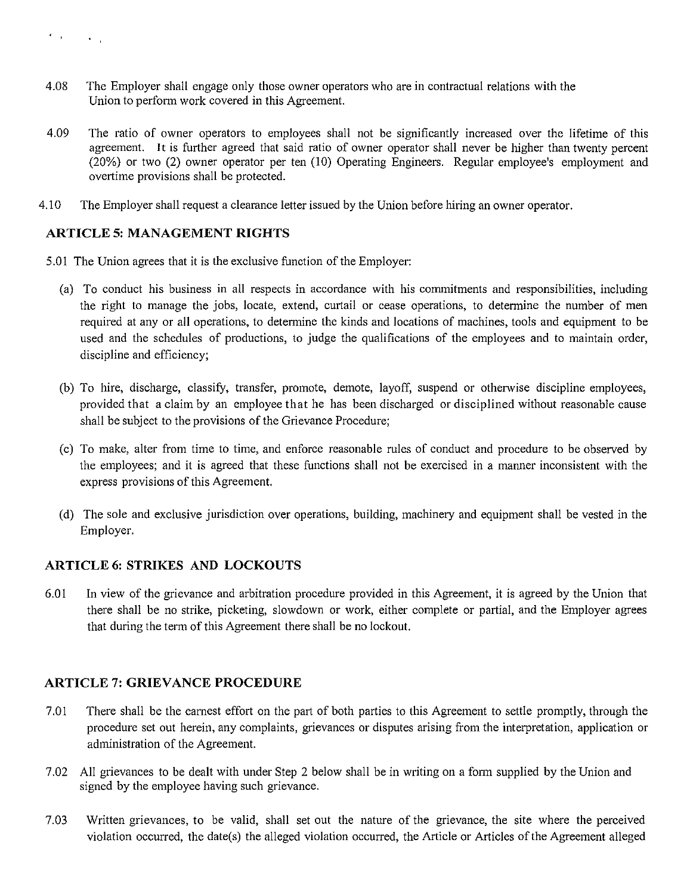- 4.08 The Employer shall engage only those owner operators who are in contractual relations with the Union to perform work covered in this Agreement.
- 4.09 The ratio of owner operators to employees shall not be significantly increased over the lifetime of this agreement. It is further agreed that said ratio of owner operator shall never be higher than twenty percent (20%) or two (2) owner operator per ten (10) Operating Engineers. Regular employee's employment and overtime provisions shall be protected.
- 4.10 The Employer shall request a clearance letter issued by the Union before hiring an owner operator.

# **ARTICLE 5: MANAGEMENT RIGHTS**

- 5.01 The Union agrees that it is the exclusive function of the Employer:
	- (a) To conduct his business in all respects in accordance with his commitments and responsibilities, including the right to manage the jobs, locate, extend, curtail or cease operations, to determine the number of men required at any or all operations, to detennine the kinds and locations of machines, tools and equipment to be used and the schedules of productions, to judge the qualifications of the employees and to maintain order, discipline and efficiency;
	- (b) To hire, discharge, classify, transfer, promote, demote, layoff, suspend or otherwise discipline employees, provided that a claim by an employee that he has been discharged or disciplined without reasonable cause shall be subject to the provisions of the Grievance Procedure;
	- (c) To make, alter from time to time, and enforce reasonable rules of conduct and procedure to be observed by the employees; and it is agreed that these functions shall not be exercised in a manner inconsistent with the express provisions of this Agreement.
	- (d) The sole and exclusive jurisdiction over operations, building, machinery and equipment shall be vested in the Employer.

# **ARTICLE 6: STRIKES AND LOCKOUTS**

6.01 In view of the grievance and arbitration procedure provided in this Agreement, it is agreed by the Union that there shall be no strike, picketing, slowdown or work, either complete or partial, and the Employer agrees that during the term of this Agreement there shall be no lockout.

# **ARTICLE 7: GRIEVANCE PROCEDURE**

- 7.01 There shall be the earnest effort on the part of both parties to this Agreement to settle promptly, through the procedure set out herein, any complaints, grievances or disputes arising from the interpretation, application or administration of the Agreement.
- 7.02 All grievances to be dealt with under Step 2 below shall be in writing on a form supplied by the Union and signed by the employee having such grievance.
- 7.03 Written grievances, to be valid, shall set out the nature of the grievance, the site where the perceived violation occurred, the date(s) the alleged violation occurred, the Article or Articles of the Agreement alleged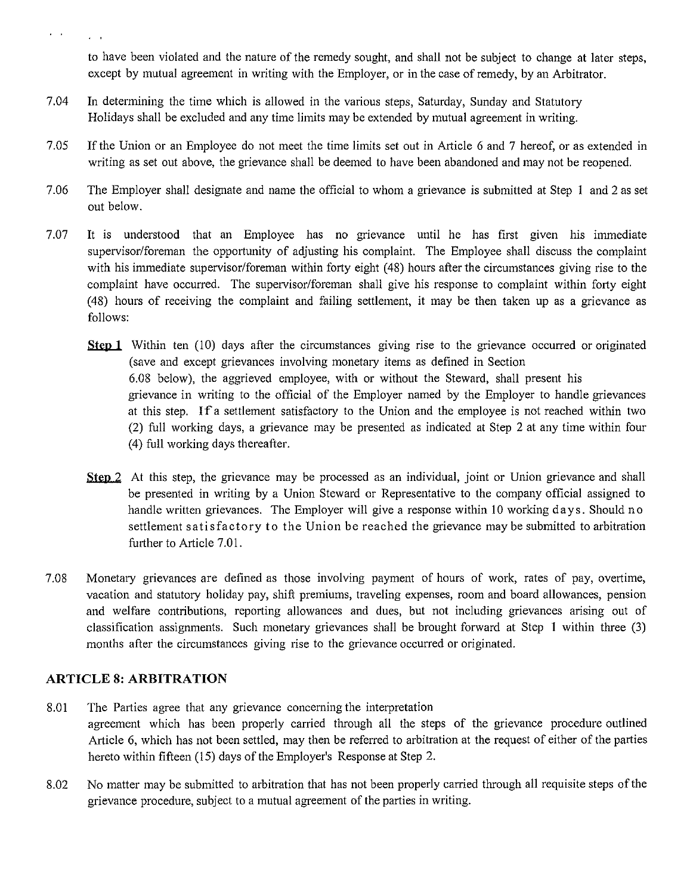$\sim$   $\sim$ 

to have been violated and the nature of the remedy sought, and shall not be subject to change at later steps, except by mutual agreement in writing with the Employer, or in the case of remedy, by an Arbitrator.

- 7.04 In determining the time which is allowed in the various steps, Saturday, Sunday and Statutory Holidays shall be excluded and any time limits may be extended by mutual agreement in writing.
- 7.05 If the Union or an Employee do not meet the time limits set out in Article 6 and 7 hereof, or as extended in writing as set out above, the grievance shall be deemed to have been abandoned and may not be reopened.
- 7.06 The Employer shall designate and name the official to whom a grievance is submitted at Step 1 and 2 as set out below.
- 7.07 It is understood that an Employee has no grievance until he has first given his immediate supervisor/foreman the opportunity of adjusting his complaint. The Employee shall discuss the complaint with his immediate supervisor/foreman within forty eight ( 48) hours after the circumstances giving rise to the complaint have occurred. The supervisor/foreman shall give his response to complaint within forty eight (48) hours of receiving the complaint and failing settlement, it may be then taken up as a grievance as follows:
	- **Step 1** Within ten (10) days after the circumstances giving rise to the grievance occurred or originated (save and except grievances involving monetary items as defined in Section 6.08 below), the aggrieved employee, with or without the Steward, shall present his grievance in writing to the official of the Employer named by the Employer to handle grievances at this step. If a settlement satisfactory to the Union and the employee is not reached within two (2) full working days, a grievance may be presented as indicated at Step 2 at any time within four (4) full working days thereafter.
	- Step 2 At this step, the grievance may be processed as an individual, joint or Union grievance and shall be presented in writing by a Union Steward or Representative to the company official assigned to handle written grievances. The Employer will give a response within 10 working days. Should no settlement satisfactory to the Union be reached the grievance may be submitted to arbitration further to Article 7.01.
- 7.08 Monetary grievances are defined as those involving payment of hours of work, rates of pay, overtime, vacation and statutory holiday pay, shift premiums, traveling expenses, room and board allowances, pension and welfare contributions, reporting allowances and dues, but not including grievances arising out of classification assignments. Such monetary grievances shall be brought forward at Step 1 within three (3) months after the circumstances giving rise to the grievance occurred or originated.

## **ARTICLE 8: ARBITRATION**

- 8.01 The Parties agree that any grievance concerning the interpretation agreement which has been properly carried through all the steps of the grievance procedure outlined Article 6, which has not been settled, may then be referred to arbitration at the request of either of the parties hereto within fifteen (15) days of the Employer's Response at Step 2.
- 8.02 No matter may be submitted to arbitration that has not been properly carried through all requisite steps of the grievance procedure, subject to a mutual agreement of the parties in writing.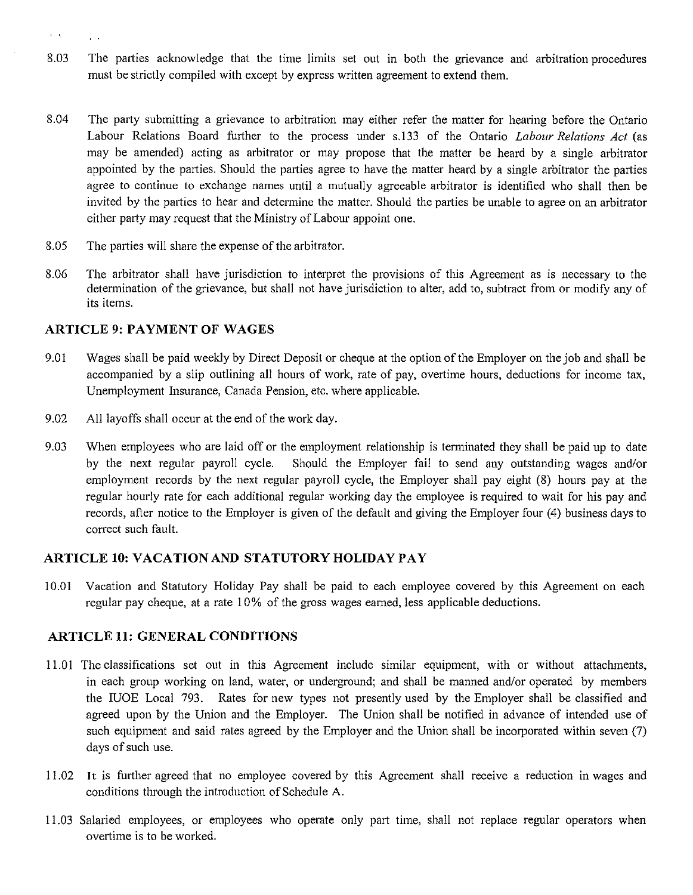- 8.03 The parties acknowledge that the time limits set out in both the grievance and arbitration procedures must be strictly compiled with except by express written agreement to extend them.
- 8.04 The party submitting a grievance to arbitration may either refer the matter for hearing before the Ontario Labour Relations Board further to the process under s.l33 of the Ontario *Labour Relations Act* (as may be amended) acting as arbitrator or may propose that the matter be heard by a single arbitrator appointed by the parties. Should the parties agree to have the matter heard by a single arbitrator the parties agree to continue to exchange names until a mutually agreeable arbitrator is identified who shall then be invited by the parties to hear and determine the matter. Should the parties be unable to agree on an arbitrator either party may request that the Ministry of Labour appoint one.
- 8.05 The parties will share the expense of the arbitrator.
- 8.06 The arbitrator shall have jurisdiction to interpret the provisions of this Agreement as is necessary to the determination of the grievance, but shall not have jurisdiction to alter, add to, subtract from or modify any of its items.

#### **ARTICLE 9: PAYMENT OF WAGES**

- 9.01 Wages shall be paid weekly by Direct Deposit or cheque at the option of the Employer on the job and shall be accompanied by a slip outlining all hours of work, rate of pay, overtime hours, deductions for income tax, Unemployment Insurance, Canada Pension, etc. where applicable.
- 9.02 All layoffs shall occur at the end of the work day.
- 9.03 When employees who are laid off or the employment relationship is tenninated they shall be paid up to date by the next regular payroll cycle. Should the Employer fail to send any outstanding wages and/or employment records by the next regular payroll cycle, the Employer shall pay eight (8) hours pay at the regular hourly rate for each additional regular working day the employee is required to wait for his pay and records, after notice to the Employer is given of the default and giving the Employer four (4) business days to correct such fault.

#### **ARTICLE 10: VACATION AND STATUTORY HOLIDAY PAY**

10.01 Vacation and Statutory Holiday Pay shall be paid to each employee covered by this Agreement on each regular pay cheque, at a rate I 0% of the gross wages earned, less applicable deductions.

#### **ARTICLE 11: GENERAL CONDITIONS**

- 11.0 I The classifications set out in this Agreement include similar equipment, with or without attachments, in each group working on land, water, or underground; and shall be manned and/or operated by members the IUOE Local 793. Rates for new types not presently used by the Employer shall be classified and agreed upon by the Union and the Employer. The Union shall be notified in advance of intended use of such equipment and said rates agreed by the Employer and the Union shall be incorporated within seven (7) days of such use.
- 11.02 It is further agreed that no employee covered by this Agreement shall receive a reduction in wages and conditions through the introduction of Schedule A.
- 11.03 Salaried employees, or employees who operate only part time, shall not replace regular operators when overtime is to be worked.

 $\mathbf{r}=\mathbf{t}$ 

 $\mathbf{v} = \mathbf{v}$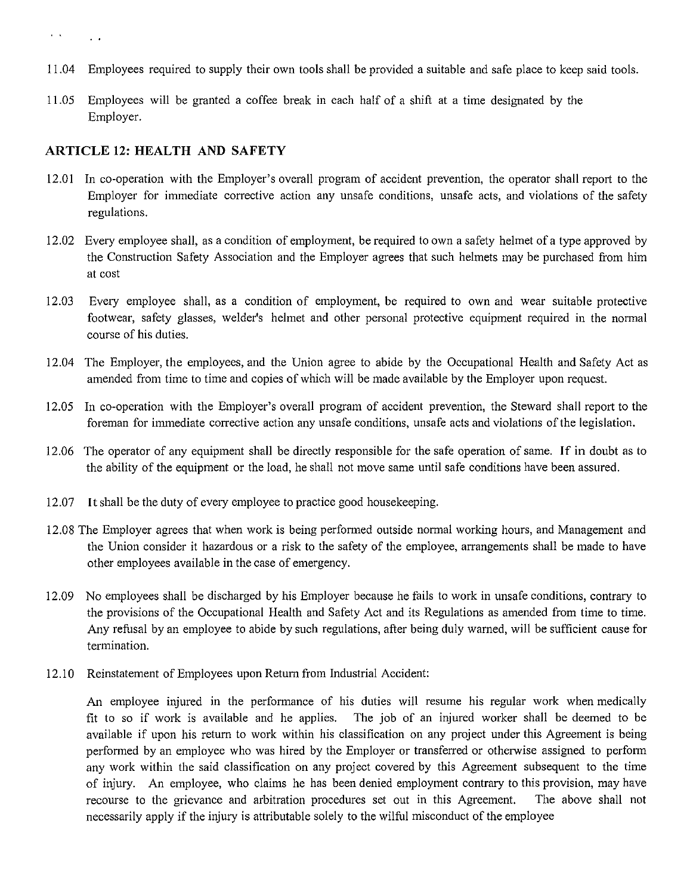- 11.04 Employees required to supply their own tools shall be provided a suitable and safe place to keep said tools.
- 11.05 Employees will be granted a coffee break in each half of a shift at a time designated by the Employer.

#### **ARTICLE 12: HEALTH AND SAFETY**

- 12.01 In co-operation with the Employer's overall program of accident prevention, the operator shall report to the Employer for immediate corrective action any unsafe conditions, unsafe acts, and violations of the safety regulations.
- 12.02 Every employee shall, as a condition of employment, be required to own a safety helmet of a type approved by the Construction Safety Association and the Employer agrees that such helmets may be purchased from him at cost
- 12.03 Every employee shall, as a condition of employment, be required to own and wear suitable protective footwear, safety glasses, welder's helmet and other personal protective equipment required in the normal course of his duties.
- 12.04 The Employer, the employees, and the Union agree to abide by the Occupational Health and Safety Act as amended from time to time and copies of which will be made available by the Employer upon request.
- 12.05 In co-operation with the Employer's overall program of accident prevention, the Steward shall report to the foreman for immediate corrective action any unsafe conditions, unsafe acts and violations of the legislation.
- 12.06 The operator of any equipment shall be directly responsible for the safe operation of same. If in doubt as to the ability of the equipment or the load, he shall not move same until safe conditions have been assured.
- 12.07 It shall be the duty of every employee to practice good housekeeping.
- 12.08 The Employer agrees that when work is being performed outside normal working hours, and Management and the Union consider it hazardous or a risk to the safety of the employee, arrangements shall be made to have other employees available in the case of emergency.
- 12.09 No employees shall be discharged by his Employer because he fails to work in unsafe conditions, contrary to the provisions of the Occupational Health and Safety Act and its Regulations as amended from time to time. Any refusal by an employee to abide by such regulations, after being duly warned, will be sufficient cause for termination.
- 12.10 Reinstatement of Employees upon Return from Industrial Accident:

An employee injured in the performance of his duties will resume his regular work when medically fit to so if work is available and he applies. The job of an injured worker shall be deemed to be available if upon his return to work within his classification on any project under this Agreement is being performed by an employee who was hired by the Employer or transferred or otherwise assigned to perform any work within the said classification on any project covered by this Agreement subsequent to the time of injury. An employee, who claims he has been denied employment contrary to this provision, may have recourse to the grievance and arbitration procedures set out in this Agreement. The above shall not necessarily apply if the injury is attributable solely to the wilful misconduct of the employee

 $\mathbf{r}=\mathbf{q}$  $\Delta \sim 10$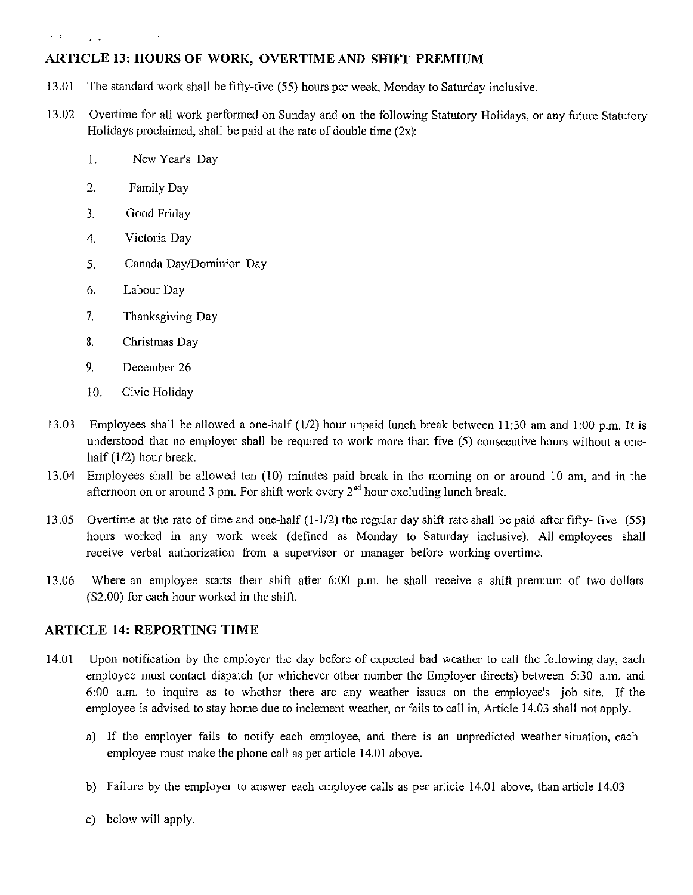# **ARTICLE 13: HOURS OF WORK, OVERTIME AND SHIFT PREMIUM**

- 13.01 The standard work shall be fifty-five (55) hours per week, Monday to Saturday inclusive.
- 13.02 Overtime for all work performed on Sunday and on the following Statutory Holidays, or any future Statutory Holidays proclaimed, shall be paid at the rate of double time  $(2x)$ :
	- I. New Year's Day
	- 2. Family Day

 $\epsilon = 1$ 

 $\mathbf{L}^{\prime}$ 

- ), ' Good Friday
- 4. Victoria Day
- 5. Canada Day/Dominion Day
- 6. Labour Day
- 7. Thanksgiving Day
- 8. Christmas Day
- 9. December 26
- 10. Civic Holiday
- 13.03 Employees shall be allowed a one-half (1/2) hour unpaid lunch break between 11:30 am and 1:00 p.m. It is understood that no employer shall be required to work more than five (5) consecutive hours without a onehalf  $(1/2)$  hour break.
- 13.04 Employees shall be allowed ten (10) minutes paid break in the morning on or around 10 am, and in the afternoon on or around 3 pm. For shift work every  $2<sup>nd</sup>$  hour excluding lunch break.
- 13.05 Overtime at the rate of time and one-half  $(1-1/2)$  the regular day shift rate shall be paid after fifty- five (55) hours worked in any work week (defined as Monday to Saturday inclusive). All employees shall receive verbal authorization from a supervisor or manager before working overtime.
- 13.06 Where an employee starts their shift after 6:00 p.m. he shall receive a shift premium of two dollars (\$2.00) for each hour worked in the shift.

# **ARTICLE 14: REPORTING TIME**

- 14.01 Upon notification by the employer the day before of expected bad weather to call the following day, each employee must contact dispatch (or whichever other number the Employer directs) between 5:30 a.m. and 6:00 a.m. to inquire as to whether there are any weather issues on the employee's job site. If the employee is advised to stay home due to inclement weather, or fails to call in, Article 14.03 shall not apply.
	- a) If the employer fails to notify each employee, and there is an unpredicted weather situation, each employee must make the phone call as per article 14.01 above.
	- b) Failure by the employer to answer each employee calls as per article 14.01 above, than article 14.03
	- c) below will apply.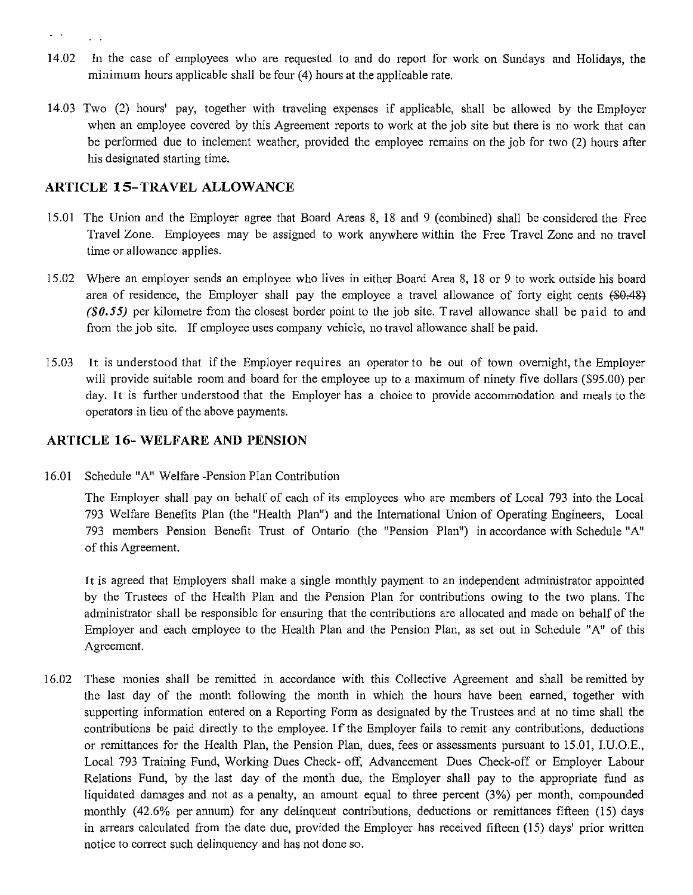- 14.02 In the case of employees who are requested to and do report for work on Sundays and Holidays, the minimum hours applicable shall be four  $(4)$  hours at the applicable rate.
- 14.03 Two (2) hours' pay, together with traveling expenses if applicable, shall be allowed by the Employer when an employee covered by this Agreement reports to work at the job site but there is no work that can be performed due to inclement weather, provided the employee remains on the job for two (2) hours after his designated starting time.

# **ARTICLE 15-TRAVEL ALLOWANCE**

 $\mathbf{z} = \mathbf{z}$  .

 $\Delta \sim 10$ 

- 15.01 The Union and the Employer agree that Board Areas 8, 18 and 9 (combined) shall be considered the Free Travel Zone. Employees may be assigned to work anywhere within the Free Travel Zone and no travel time or allowance applies.
- 15.02 Where an employer sends an employee who lives in either Board Area 8, 18 or 9 to work outside his board area of residence, the Employer shall pay the employee a travel allowance of forty eight cents (\$0.48) *(\$0.55)* per kilometre from the closest border point to the job site. Travel allowance shall be paid to and from the job site. If employee uses company vehicle, no travel allowance shall be paid.
- 15.03 It is understood that if the Employer requires an operator to be out of town overnight, the Employer will provide suitable room and board for the employee up to a maximum of ninety five dollars (\$95.00) per day. It is further understood that the Employer has a choice to provide accommodation and meals to the operators in lieu of the above payments.

# **ARTICLE 16- WELFARE AND PENSION**

16.01 Schedule "A" Welfare -Pension Plan Contribution

The Employer shall pay on behalf of each of its employees who are members of Local 793 into the Local 793 Welfare Benefits Plan (the "Health Plan") and the International Union of Operating Engineers, Local 793 members Pension Benefit Trust of Ontario (the "Pension Plan") in accordance with Schedule "A" of this Agreement.

**l** t is agreed that Employers shall make a single monthly payment to an independent administrator appointed by the Trustees of the Health Plan and the Pension Plan for contributions owing to the two plans. The administrator shall be responsible for ensuring that the contributions are allocated and made on behalf of the Employer and each employee to the Health Plan and the Pension Plan, as set out in Schedule "A" of this Agreement.

16.02 These monies shall be remitted in accordance with this Collective Agreement and shall be remitted by the last day of the month following the month in which the hours have been earned, together with supporting information entered on a Reporting Form as designated by the Trustees and at no time shall the contributions be paid directly to the employee. If the Employer fails to remit any contributions, deductions or remittances for the Health Plan, the Pension Plan, dues, fees or assessments pursuant to 15.01, I.U.O.E., Local 793 Training Fund, Working Dues Check- off, Advancement Dues Check-off or Employer Labour Relations Fund, by the last day of the month due, the Employer shall pay to the appropriate fund as liquidated damages and not as a penalty, an amount equal to three percent (3%) per month, compounded monthly ( 42.6% per annum) for any delinquent contributions, deductions or remittances fifteen (15) days in arrears calculated from the date due, provided the Employer has received fifteen (15) days' prior written notice to correct such delinquency and has not done so.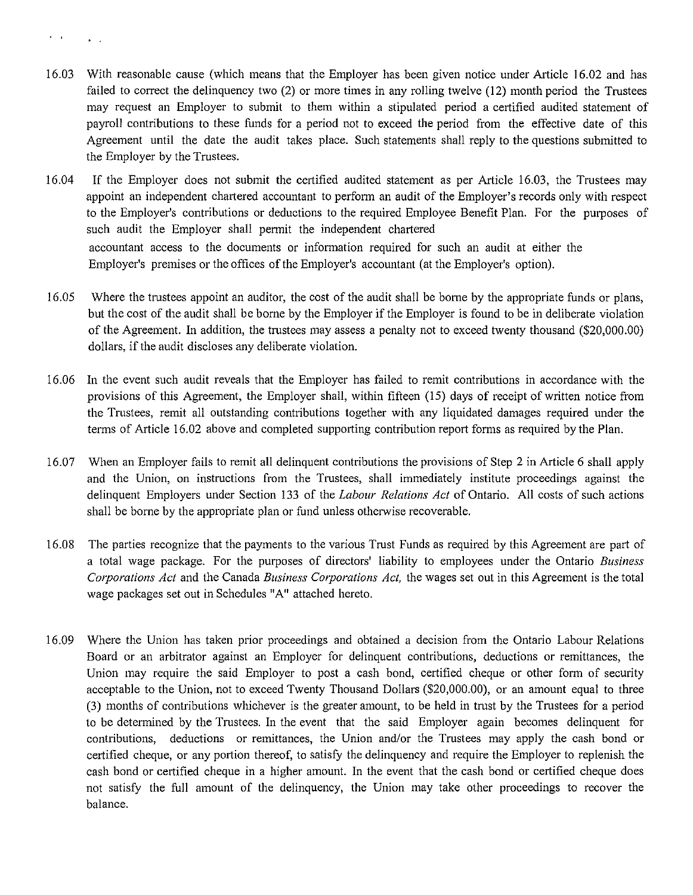- $\mathbf{r} = \mathbf{r}$  $\mathbb{R}^d$  .  $\mathbb{R}^d$
- 16.03 With reasonable cause (which means that the Employer has been given notice under Article 16.02 and has failed to correct the delinquency two (2) or more times in any rolling twelve (12) month period the Trustees may request an Employer to submit to them within a stipulated period a certified audited statement of payroll contributions to these funds for a period not to exceed the period from the effective date of this Agreement until the date the audit takes place. Such statements shall reply to the questions submitted to the Employer by the Trustees.
- 16.04 If the Employer does not submit the certified audited statement as per Article 16.03, the Trustees may appoint an independent chartered accountant to perform an audit of the Employer's records only with respect to the Employer's contributions or deductions to the required Employee Benefit Plan. For the purposes of such audit the Employer shall permit the independent chartered accountant access to the documents or information required for such an audit at either the Employer's premises or the offices of the Employer's accountant (at the Employer's option).
- 16.05 Where the trustees appoint an auditor, the cost of the audit shall be borne by the appropriate funds or plans, but the cost of the audit shall be borne by the Employer if the Employer is found to be in deliberate violation of the Agreement. In addition, the trustees may assess a penalty not to exceed twenty thousand (\$20,000.00) dollars, if the audit discloses any deliberate violation.
- 16.06 In the event such audit reveals that the Employer has failed to remit contributions in accordance with the provisions of this Agreement, the Employer shall, within fifteen (15) days of receipt of written notice from the Trustees, remit all outstanding contributions together with any liquidated damages required under the terms of Article 16.02 above and completed supporting contribution report forms as required by the Plan.
- 16.07 When an Employer fails to remit all delinquent contributions the provisions of Step 2 in Article 6 shall apply and the Union, on instructions from the Trustees, shall immediately institute proceedings against the delinquent Employers under Section 133 of the *Labour Relations Act* of Ontario. All costs of such actions shall be borne by the appropriate plan or fund unless otherwise recoverable.
- 16.08 The parties recognize that the payments to the various Trust Funds as required by this Agreement are part of a total wage package. For the purposes of directors' liability to employees under the Ontario *Business Corporations Act* and the Canada *Business Corporations Act,* the wages set out in this Agreement is the total wage packages set out in Schedules "A" attached hereto.
- 16.09 Where the Union has taken prior proceedings and obtained a decision from the Ontario Labour Relations Board or an arbitrator against an Employer for delinquent contributions, deductions or remittances, the Union may require the said Employer to post a cash bond, certified cheque or other form of security acceptable to the Union, not to exceed Twenty Thousand Dollars (\$20,000.00), or an amount equal to three (3) months of contributions whichever is the greater amount, to be held in trust by the Trustees for a period to be determined by the Trustees. In the event that the said Employer again becomes delinquent for contributions, deductions or remittances, the Union and/or the Trustees may apply the cash bond or certified cheque, or any portion thereof, to satisfy the delinquency and require the Employer to replenish the cash bond or certified cheque in a higher amount. In the event that the cash bond or certified cheque does not satisfy the full amount of the delinquency, the Union may take other proceedings to recover the balance.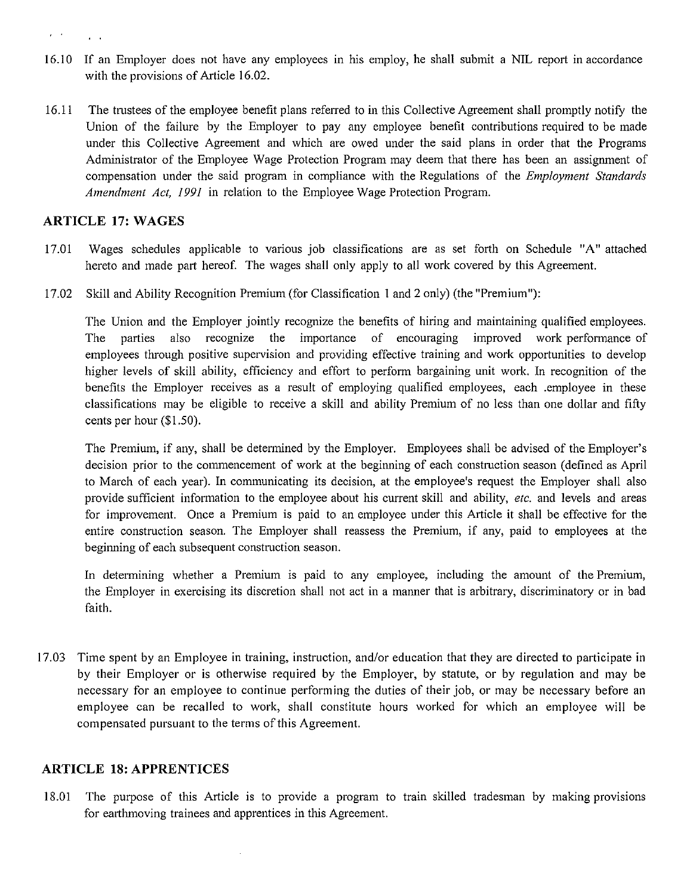- 16.10 If an Employer does not have any employees in his employ, he shall submit a NIL report in accordance with the provisions of Article 16.02.
- 16.11 The trustees of the employee benefit plans referred to in this Collective Agreement shall promptly notify the Union of the failure by the Employer to pay any employee benefit contributions required to be made under this Collective Agreement and which are owed under the said plans in order that the Programs Administrator of the Employee Wage Protection Program may deem that there has been an assignment of compensation under the said program in compliance with the Regulations of the *Employment Standards Amendment Act, 1991* in relation to the Employee Wage Protection Program.

#### **ARTICLE 17: WAGES**

 $\mathbf{y} = \mathbf{y}$ 

 $\mathbf{A}$ 

- 17.01 Wages schedules applicable to various job classifications are as set forth on Schedule "A" attached hereto and made part hereof. The wages shall only apply to all work covered by this Agreement.
- 17.02 Skill and Ability Recognition Premium (for Classification I and 2 only) (the "Premium"):

The Union and the Employer jointly recognize the benefits of hiring and maintaining qualified employees. The parties also recognize the importance of encouraging improved work performance of employees through positive supervision and providing effective training and work opportunities to develop higher levels of skill ability, efficiency and effort to perform bargaining unit work. In recognition of the benefits the Employer receives as a result of employing qualified employees, each .employee in these classifications may be eligible to receive a skill and ability Premium of no less than one dollar and fifty cents per hour (\$1.50).

The Premium, if any, shall be detennined by the Employer. Employees shall be advised of the Employer's decision prior to the commencement of work at the beginning of each construction season (defined as April to March of each year). In communicating its decision, at the employee's request the Employer shall also provide sufficient information to the employee about his current skill and ability, *etc.* and levels and areas for improvement. Once a Premium is paid to an employee under this Article it shall be effective for the entire construction season. The Employer shall reassess the Premium, if any, paid to employees at the beginning of each subsequent construction season.

In determining whether a Premium is paid to any employee, including the amount of the Premium, the Employer in exercising its discretion shall not act in a manner that is arbitrary, discriminatory or in bad faith.

17.03 Time spent by an Employee in training, instruction, and/or education that they are directed to participate in by their Employer or is otherwise required by the Employer, by statute, or by regulation and may be necessary for an employee to continue performing the duties of their job, or may be necessary before an employee can be recalled to work, shall constitute hours worked for which an employee will be compensated pursuant to the terms of this Agreement.

#### **ARTICLE 18: APPRENTICES**

18.01 The purpose of this Article is to provide a program to train skilled tradesman by making provisions for earthmoving trainees and apprentices in this Agreement.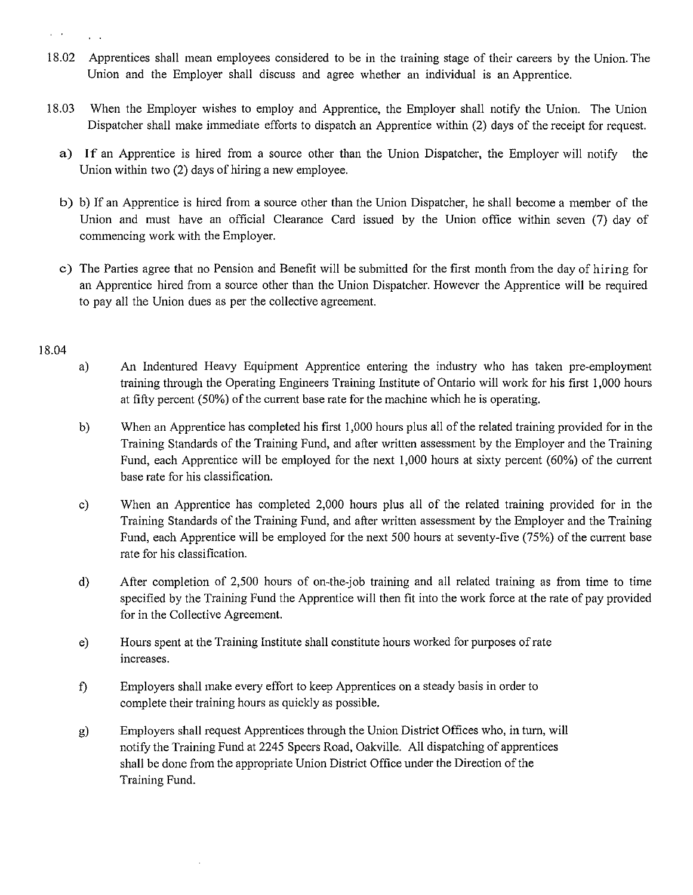- 18.02 Apprentices shall mean employees considered to be in the training stage of their careers by the Union. The Union and the Employer shall discuss and agree whether an individual is an Apprentice.
- 18.03 When the Employer wishes to employ and Apprentice, the Employer shall notify the Union. The Union Dispatcher shall make immediate efforts to dispatch an Apprentice within (2) days of the receipt for request.
	- a) If an Apprentice is hired from a source other than the Union Dispatcher, the Employer will notify the Union within two (2) days of hiring a new employee.
	- b) b) If an Apprentice is hired from a source other than the Union Dispatcher, he shall become a member of the Union and must have an official Clearance Card issued by the Union office within seven (7) day of commencing work with the Employer.
	- c) The Parties agree that no Pension and Benefit will be submitted for the first month from the day of hiring for an Apprentice hired from a source other than the Union Dispatcher. However the Apprentice will be required to pay all the Union dues as per the collective agreement.

#### 18.04

- a) An Indentured Heavy Equipment Apprentice entering the industry who has taken pre-employment training through the Operating Engineers Training Institute of Ontario will work for his first I ,000 hours at fifty percent (50%) of the current base rate for the machine which he is operating.
- b) When an Apprentice has completed his first 1,000 hours plus all of the related training provided for in the Training Standards of the Training Fund, and after written assessment by the Employer and the Training Fund, each Apprentice will be employed for the next 1,000 hours at sixty percent (60%) of the current base rate for his classification.
- c) When an Apprentice has completed 2,000 hours plus all of the related training provided for in the Training Standards of the Training Fund, and after written assessment by the Employer and the Training Fund, each Apprentice will be employed for the next 500 hours at seventy-five (75%) of the current base rate for his classification.
- d) After completion of 2,500 hours of on-the-job training and all related training as from time to time specified by the Training Fund the Apprentice will then fit into the work force at the rate of pay provided for in the Collective Agreement.
- e) Hours spent at the Training Institute shall constitute hours worked for purposes of rate increases.
- f) Employers shall make every effort to keep Apprentices on a steady basis in order to complete their training hours as quickly as possible.
- g) Employers shall request Apprentices through the Union District Offices who, in turn, will notify the Training Fund at 2245 Speers Road, Oakville. All dispatching of apprentices shall be done from the appropriate Union District Office under the Direction of the Training Fund.

 $\mu \rightarrow \mu$ 

 $\sim$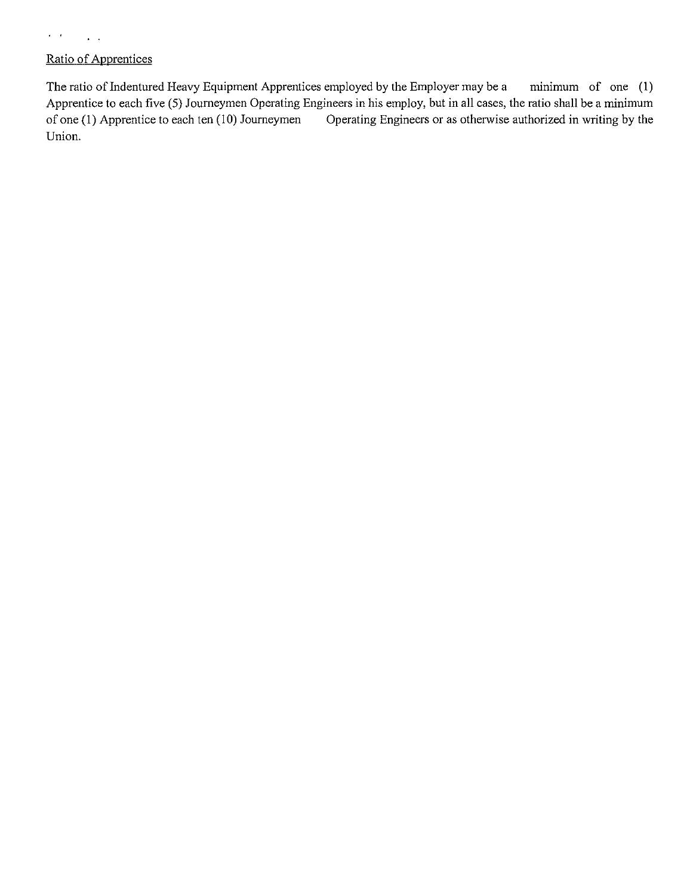# Ratio of Apprentices

 $\sim 10^{11}$  km s  $^{-1}$ 

 $\mathcal{L}^{\text{c}}(\mathcal{A})$ 

The ratio of Indentured Heavy Equipment Apprentices employed by the Employer may be a minimum of one (1) Apprentice to each five (5) Journeymen Operating Engineers in his employ, but in all cases, the ratio shall be a minimum of one (1) Apprentice to each ten  $(10)$  Journeymen Operating Engineers or as otherwise authorized in writing by the Union.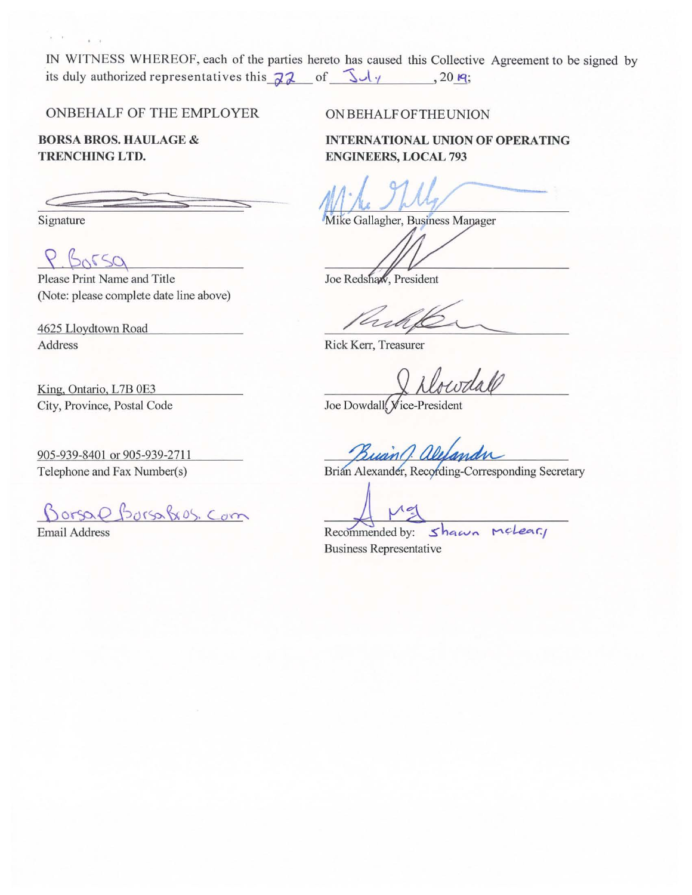IN WITNESS WHEREOF, each of the parties hereto has caused this Collective Agreement to be signed by its duly authorized representatives this  $\overline{d}$  of  $\overline{\mathcal{A}}$   $\overline{\mathcal{A}}$  , 20  $\overline{\mathsf{q}}$ ;

ONBEHALF OF THE EMPLOYER

BORSA BROS. HAULAGE & TRENCHING LTD.

Signature

 $\lambda = 0.5$ 

 $k = 1$ 

 $\mathsf{P}$  $5250$ 

Please Print Name and Title (Note: please complete date line above)

4625 Lloydtown Road Address

King, Ontario, L7B 0E3 City, Province, Postal Code

905-939-8401 or 905-939-2711 Telephone and Fax Number(s)

Borsal Borsalis, Com

Email Address

ON BEHALF OFTHEUNION

INTERNATIONAL UNION OF OPERATING ENGINEERS, LOCAL 793

Mike Gallagher, Business Manager

Joe Redshaw, President

Rick Kerr, Treasurer

Joe Dowdall, Vice-President

Brian Alexander, Recording-Corresponding Secretary

Recommended by: Shawn melear! Business Representative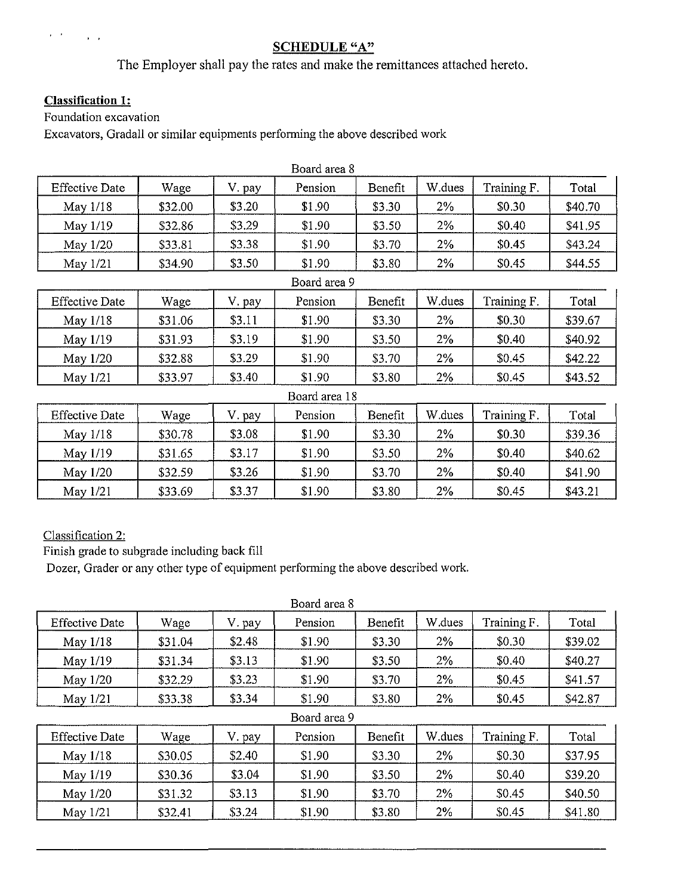# **SCHEDULE "A"**

The Employer shall pay the rates and make the remittances attached hereto.

# **Classification 1:**

Foundation excavation

Excavators, Gradall or similar equipments performing the above described work

|                       |         |        | Board area 8  |                 |        |             |         |
|-----------------------|---------|--------|---------------|-----------------|--------|-------------|---------|
| <b>Effective Date</b> | Wage    | V. pay | Pension       | Benefit         | W.dues | Training F. | Total   |
| May 1/18              | \$32.00 | \$3.20 | \$1.90        | \$3.30<br>$2\%$ |        | \$0.30      | \$40.70 |
| May 1/19              | \$32.86 | \$3.29 | \$1.90        | \$3.50          | $2\%$  | \$0.40      | \$41.95 |
| May 1/20              | \$33.81 | \$3.38 | \$1.90        | \$3.70          | $2\%$  | \$0.45      | \$43.24 |
| May 1/21              | \$34.90 | \$3.50 | \$1.90        | \$3.80          | 2%     | \$0.45      | \$44.55 |
|                       |         |        | Board area 9  |                 |        |             |         |
| <b>Effective Date</b> | Wage    | V. pay | Pension       | Benefit         | W.dues | Training F. | Total   |
| May 1/18              | \$31.06 | \$3.11 | \$1.90        | \$3.30          | 2%     | \$0.30      | \$39.67 |
| May 1/19              | \$31.93 | \$3.19 | \$1.90        | \$3.50          | $2\%$  | \$0.40      | \$40.92 |
| May 1/20              | \$32.88 | \$3.29 | \$1.90        | \$3.70          | 2%     | \$0.45      | \$42.22 |
| May 1/21              | \$33.97 | \$3.40 | \$1.90        | \$3.80          | 2%     | \$0.45      | \$43.52 |
|                       |         |        | Board area 18 |                 |        |             |         |
| <b>Effective Date</b> | Wage    | V. pay | Pension       | Benefit         | W.dues | Training F. | Total   |
| May 1/18              | \$30.78 | \$3.08 | \$1.90        | \$3.30          | 2%     | \$0.30      | \$39.36 |
| May 1/19              | \$31.65 | \$3.17 | \$1.90        | \$3.50          | 2%     | \$0.40      | \$40.62 |
| May 1/20              | \$32.59 | \$3.26 | \$1.90        | \$3.70          | 2%     | \$0.40      | \$41.90 |
| May 1/21              | \$33.69 | \$3.37 | \$1.90        | \$3.80          | 2%     | \$0.45      | \$43.21 |

Classification 2:

Finish grade to subgrade including back fill

Dozer, Grader or any other type of equipment perfonning the above described work.

|                       | Board area 8 |        |              |         |        |             |         |  |  |  |  |
|-----------------------|--------------|--------|--------------|---------|--------|-------------|---------|--|--|--|--|
| <b>Effective Date</b> | Wage         | V pay  | Pension      | Benefit | W.dues | Training F. | Total   |  |  |  |  |
| May $1/18$            | \$31.04      | \$2.48 | \$1.90       | \$3.30  | $2\%$  | \$0.30      | \$39.02 |  |  |  |  |
| May $1/19$            | \$31.34      | \$3.13 | \$1.90       | \$3.50  | 2%     | \$0.40      | \$40.27 |  |  |  |  |
| May $1/20$            | \$32.29      | \$3.23 | \$1.90       | \$3.70  | 2%     | \$0.45      | \$41.57 |  |  |  |  |
| May $1/21$            | \$33.38      | \$3.34 | \$1.90       | \$3.80  | 2%     | \$0.45      | \$42.87 |  |  |  |  |
|                       |              |        | Board area 9 |         |        |             |         |  |  |  |  |
| <b>Effective Date</b> | Wage         | V. pay | Pension      | Benefit | W.dues | Training F. | Total   |  |  |  |  |
| May 1/18              | \$30.05      | \$2.40 | \$1.90       | \$3.30  | 2%     | \$0.30      | \$37.95 |  |  |  |  |

May 1/19 | \$30.36 | \$3.04 | \$1.90 | \$3.50 | 2% | \$0.40 | \$39.20 May 1/20 | \$31.32 | \$3.13 | \$1.90 | \$3.70 | 2% | \$0.45 | \$40.50 May 1/21 | \$32.41 | \$3.24 | \$1.90 | \$3.80 | 2% | \$0.45 | \$41.80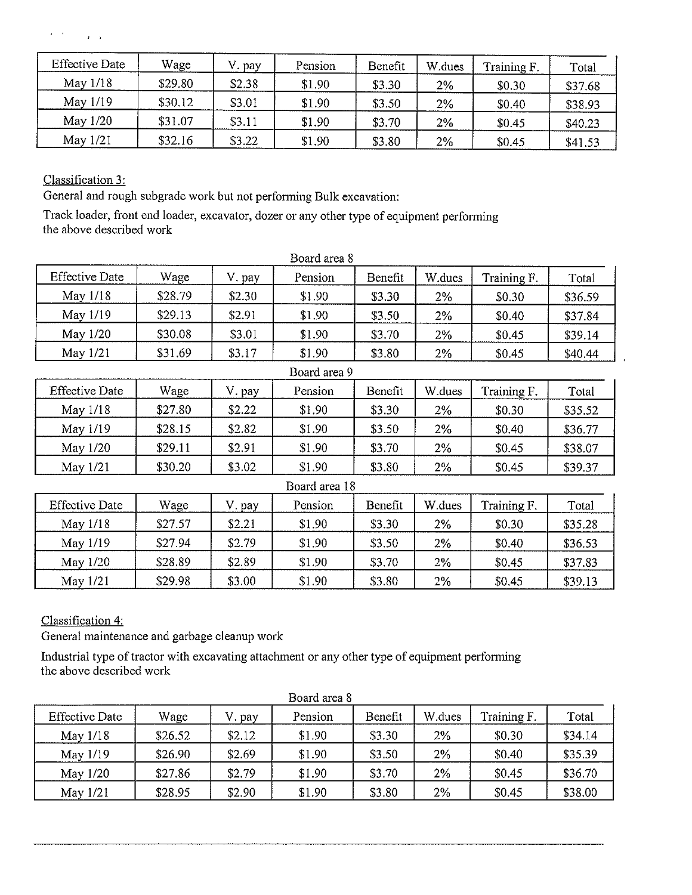# $\label{eq:2} \mathbf{z} = \mathbf{t}^{\top} \qquad \qquad \mathbf{z} = \mathbf{y}$

| <b>Effective Date</b> | Wage    | pay    | Pension | Benefit | W.dues | Training F. | Total   |
|-----------------------|---------|--------|---------|---------|--------|-------------|---------|
| May $1/18$            | \$29.80 | \$2.38 | \$1.90  | \$3.30  | 2%     | \$0.30      | \$37.68 |
| May $1/19$            | \$30.12 | \$3.01 | \$1.90  | \$3.50  | 2%     | \$0.40      | \$38.93 |
| May $1/20$            | \$31.07 | \$3.11 | \$1.90  | \$3.70  | $2\%$  | \$0.45      | \$40.23 |
| May $1/21$            | \$32.16 | \$3.22 | \$1.90  | \$3.80  | 2%     | \$0.45      | \$41.53 |

Classification 3:

General and rough subgrade work but not performing Bulk excavation:

Track loader, front end loader, excavator, dozer or any other type of equipment performing the above described work

|                       |         |        | Board area 8  |         |        |             |         |
|-----------------------|---------|--------|---------------|---------|--------|-------------|---------|
| <b>Effective Date</b> | Wage    | V. pay | Pension       | Benefit | W.dues | Training F. | Total   |
| May 1/18              | \$28.79 | \$2.30 | \$1.90        | \$3.30  | 2%     | \$0.30      | \$36.59 |
| May 1/19              | \$29.13 | \$2.91 | \$1.90        | \$3.50  | 2%     | \$0.40      | \$37.84 |
| May 1/20              | \$30.08 | \$3.01 | \$1.90        | \$3.70  | 2%     | \$0.45      | \$39.14 |
| May 1/21              | \$31.69 | \$3.17 | \$1.90        | \$3.80  | 2%     | \$0.45      | \$40.44 |
|                       |         |        | Board area 9  |         |        |             |         |
| <b>Effective Date</b> | Wage    | V. pay | Pension       | Benefit | W.dues | Training F. | Total   |
| May $1/18$            | \$27.80 | \$2.22 | \$1.90        | \$3.30  | 2%     | \$0.30      | \$35.52 |
| May 1/19              | \$28.15 | \$2.82 | \$1.90        | \$3.50  | 2%     | \$0.40      | \$36.77 |
| May 1/20              | \$29.11 | \$2.91 | \$1.90        | \$3.70  | 2%     | \$0.45      | \$38.07 |
| May 1/21              | \$30.20 | \$3.02 | \$1.90        | \$3.80  | 2%     | \$0.45      | \$39.37 |
|                       |         |        | Board area 18 |         |        |             |         |
| <b>Effective Date</b> | Wage    | V. pay | Pension       | Benefit | W.dues | Training F. | Total   |
| May $1/18$            | \$27.57 | \$2.21 | \$1.90        | \$3.30  | 2%     | \$0.30      | \$35.28 |
| May 1/19              | \$27.94 | \$2.79 | \$1.90        | \$3.50  | 2%     | \$0.40      | \$36.53 |
| May 1/20              | \$28.89 | \$2.89 | \$1.90        | \$3.70  | 2%     | \$0.45      | \$37.83 |
| May 1/21              | \$29.98 | \$3.00 | \$1.90        | \$3.80  | 2%     | \$0.45      | \$39.13 |

Classification 4:

General maintenance and garbage cleanup work

Industrial type of tractor with excavating attachment or any other type of equipment performing the above described work

| <b>Effective Date</b> | Wage    | V. pay | Pension | Benefit | W dues | Training F. | Total   |
|-----------------------|---------|--------|---------|---------|--------|-------------|---------|
| May 1/18              | \$26.52 | \$2.12 | \$1.90  | \$3.30  | 2%     | \$0.30      | \$34.14 |
| May 1/19              | \$26.90 | \$2.69 | \$1.90  | \$3.50  | 2%     | \$0.40      | \$35.39 |
| May 1/20              | \$27.86 | \$2.79 | \$1.90  | \$3.70  | 2%     | \$0.45      | \$36.70 |
| May $1/21$            | \$28.95 | \$2.90 | \$1.90  | \$3.80  | 2%     | \$0.45      | \$38.00 |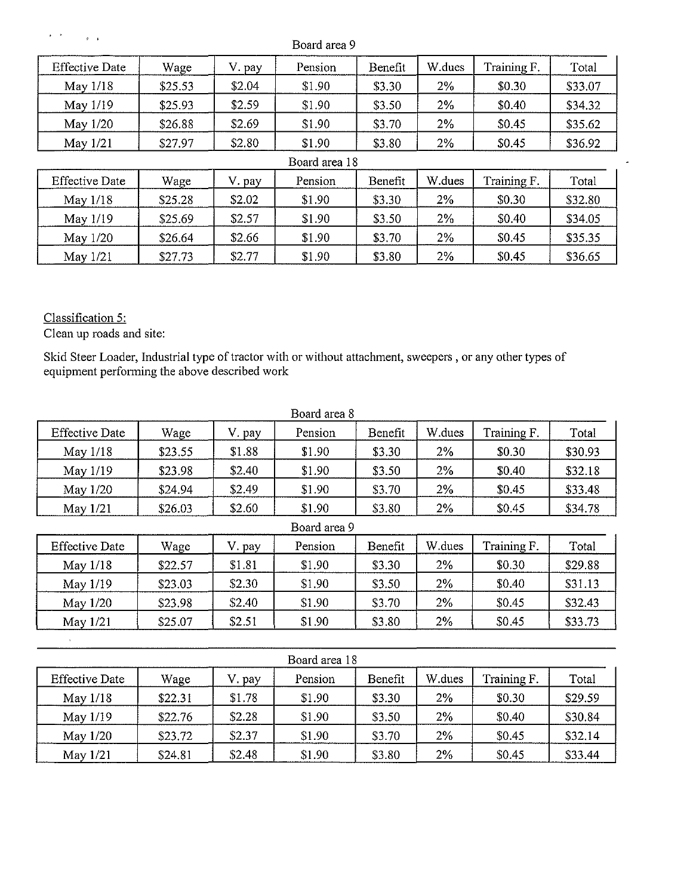| $F - 1$               | Board area 9 |        |               |         |        |             |         |  |  |  |
|-----------------------|--------------|--------|---------------|---------|--------|-------------|---------|--|--|--|
| <b>Effective Date</b> | Wage         | V. pay | Pension       | Benefit | W.dues | Training F. | Total   |  |  |  |
| May 1/18              | \$25.53      | \$2.04 | \$1.90        | \$3.30  | $2\%$  | \$0.30      | \$33.07 |  |  |  |
| May 1/19              | \$25.93      | \$2.59 | \$1.90        | \$3.50  | 2%     | \$0.40      | \$34.32 |  |  |  |
| May $1/20$            | \$26.88      | \$2.69 | \$1.90        | \$3.70  | 2%     | \$0.45      | \$35.62 |  |  |  |
| May $1/21$            | \$27.97      | \$2.80 | \$1.90        | \$3.80  | 2%     | \$0.45      | \$36.92 |  |  |  |
|                       |              |        | Board area 18 |         |        |             |         |  |  |  |
| <b>Effective Date</b> | Wage         | V. pay | Pension       | Benefit | W.dues | Training F. | Total   |  |  |  |
| May $1/18$            | \$25.28      | \$2.02 | \$1.90        | \$3.30  | 2%     | \$0.30      | \$32.80 |  |  |  |
| May 1/19              | \$25.69      | \$2.57 | \$1.90        | \$3.50  | 2%     | \$0.40      | \$34.05 |  |  |  |
| May 1/20              | \$26.64      | \$2.66 | \$1.90        | \$3.70  | 2%     | \$0.45      | \$35.35 |  |  |  |
| May 1/21              | \$27.73      | \$2.77 | \$1.90        | \$3.80  | 2%     | \$0.45      | \$36.65 |  |  |  |

 $\mathbb{Z}^2$ 

Classification 5:

 $\left\langle \hat{f}^{\dagger}\right\rangle _{0}=\left\langle \hat{f}^{\dagger}\right\rangle _{0}=\left\langle \hat{f}^{\dagger}\right\rangle _{0}=\left\langle \hat{f}^{\dagger}\right\rangle _{0}$ 

Clean up roads and site:

Skid Steer Loader, Industrial type of tractor with or without attachment, sweepers , or any other types of equipment performing the above described work

|                       |              |        | Board area 8 |         |        |             |         |  |  |
|-----------------------|--------------|--------|--------------|---------|--------|-------------|---------|--|--|
| <b>Effective Date</b> | Wage         | V. pay | Pension      | Benefit | W.dues | Training F. | Total   |  |  |
| May 1/18              | \$23.55      | \$1.88 | \$1.90       | \$3.30  | 2%     | \$0.30      | \$30.93 |  |  |
| May 1/19              | \$23.98      | \$2.40 | \$1.90       | \$3.50  | 2%     | \$0.40      | \$32.18 |  |  |
| May 1/20              | \$24.94      | \$2.49 | \$1.90       | \$3.70  | $2\%$  | \$0.45      | \$33.48 |  |  |
| May 1/21              | \$26.03      | \$2.60 | \$1.90       | \$3.80  | $2\%$  | \$0.45      | \$34.78 |  |  |
|                       | Board area 9 |        |              |         |        |             |         |  |  |
| <b>Effective Date</b> | Wage         | V. pay | Pension      | Benefit | W.dues | Training F. | Total   |  |  |
| May $1/18$            | \$22.57      | \$1.81 | \$1.90       | \$3.30  | $2\%$  | \$0.30      | \$29.88 |  |  |
| May 1/19              | \$23.03      | \$2.30 | \$1.90       | \$3.50  | 2%     | \$0.40      | \$31.13 |  |  |
| May 1/20              | \$23.98      | \$2.40 | \$1.90       | \$3.70  | 2%     | \$0.45      | \$32.43 |  |  |
| May 1/21              | \$25.07      | \$2.51 | \$1.90       | \$3.80  | $2\%$  | \$0.45      | \$33.73 |  |  |
|                       |              |        |              |         |        |             |         |  |  |
|                       |              |        |              |         |        |             |         |  |  |

| Board area 18         |         |        |         |         |        |             |         |  |  |  |
|-----------------------|---------|--------|---------|---------|--------|-------------|---------|--|--|--|
| <b>Effective Date</b> | Wage    | V. pay | Pension | Benefit | W.dues | Training F. | Total   |  |  |  |
| May $1/18$            | \$22.31 | \$1.78 | \$1.90  | \$3.30  | 2%     | \$0.30      | \$29.59 |  |  |  |
| May 1/19              | \$22.76 | \$2.28 | \$1.90  | \$3.50  | 2%     | \$0.40      | \$30.84 |  |  |  |
| May $1/20$            | \$23.72 | \$2.37 | \$1.90  | \$3.70  | 2%     | \$0.45      | \$32.14 |  |  |  |
| May $1/21$            | \$24.81 | \$2.48 | \$1.90  | \$3.80  | $2\%$  | \$0.45      | \$33.44 |  |  |  |